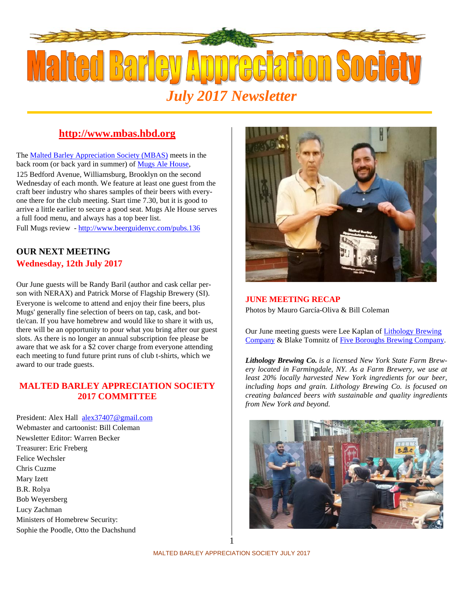

## **http://www.mbas.hbd.org**

The Malted Barley Appreciation Society (MBAS) meets in the back room (or back yard in summer) of Mugs Ale House, 125 Bedford Avenue, Williamsburg, Brooklyn on the second Wednesday of each month. We feature at least one guest from the craft beer industry who shares samples of their beers with everyone there for the club meeting. Start time 7.30, but it is good to arrive a little earlier to secure a good seat. Mugs Ale House serves a full food menu, and always has a top beer list.

Full Mugs review - http://www.beerguidenyc.com/pubs.136

### **OUR NEXT MEETING Wednesday, 12th July 2017**

Our June guests will be Randy Baril (author and cask cellar person with NERAX) and Patrick Morse of Flagship Brewery (SI). Everyone is welcome to attend and enjoy their fine beers, plus Mugs' generally fine selection of beers on tap, cask, and bottle/can. If you have homebrew and would like to share it with us, there will be an opportunity to pour what you bring after our guest slots. As there is no longer an annual subscription fee please be aware that we ask for a \$2 cover charge from everyone attending each meeting to fund future print runs of club t-shirts, which we award to our trade guests.

#### **MALTED BARLEY APPRECIATION SOCIETY 2017 COMMITTEE**

President: Alex Hall alex37407@gmail.com Webmaster and cartoonist: Bill Coleman Newsletter Editor: Warren Becker Treasurer: Eric Freberg Felice Wechsler Chris Cuzme Mary Izett B.R. Rolya Bob Weyersberg Lucy Zachman Ministers of Homebrew Security: Sophie the Poodle, Otto the Dachshund



#### **JUNE MEETING RECAP**

Photos by Mauro García-Oliva & Bill Coleman

Our June meeting guests were Lee Kaplan of Lithology Brewing Company & Blake Tomnitz of Five Boroughs Brewing Company.

*Lithology Brewing Co. is a licensed New York State Farm Brewery located in Farmingdale, NY. As a Farm Brewery, we use at least 20% locally harvested New York ingredients for our beer, including hops and grain. Lithology Brewing Co. is focused on creating balanced beers with sustainable and quality ingredients from New York and beyond.*



1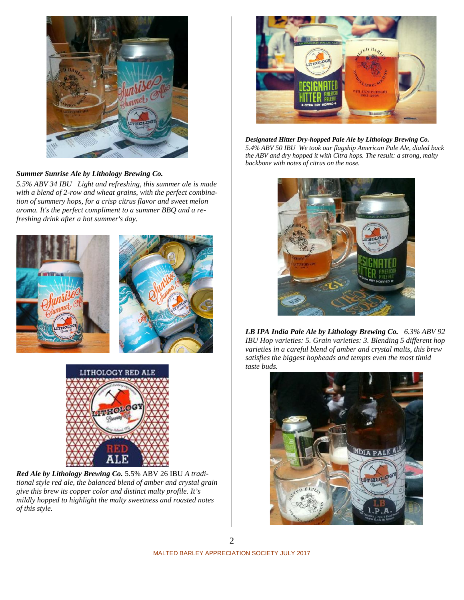

#### *Summer Sunrise Ale by Lithology Brewing Co.*

*5.5% ABV 34 IBU Light and refreshing, this summer ale is made with a blend of 2-row and wheat grains, with the perfect combination of summery hops, for a crisp citrus flavor and sweet melon aroma. It's the perfect compliment to a summer BBQ and a refreshing drink after a hot summer's day.*





*Red Ale by Lithology Brewing Co.* 5.5% ABV 26 IBU *A traditional style red ale, the balanced blend of amber and crystal grain give this brew its copper color and distinct malty profile. It's mildly hopped to highlight the malty sweetness and roasted notes of this style.*



*Designated Hitter Dry-hopped Pale Ale by Lithology Brewing Co. 5.4% ABV 50 IBU We took our flagship American Pale Ale, dialed back the ABV and dry hopped it with Citra hops. The result: a strong, malty backbone with notes of citrus on the nose.*



*LB IPA India Pale Ale by Lithology Brewing Co. 6.3% ABV 92 IBU Hop varieties: 5. Grain varieties: 3. Blending 5 different hop varieties in a careful blend of amber and crystal malts, this brew satisfies the biggest hopheads and tempts even the most timid taste buds.*

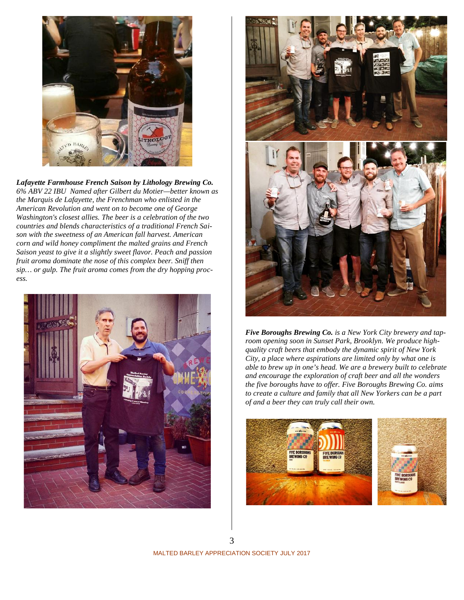

*Lafayette Farmhouse French Saison by Lithology Brewing Co. 6% ABV 22 IBU Named after Gilbert du Motier—better known as the Marquis de Lafayette, the Frenchman who enlisted in the American Revolution and went on to become one of George Washington's closest allies. The beer is a celebration of the two countries and blends characteristics of a traditional French Saison with the sweetness of an American fall harvest. American corn and wild honey compliment the malted grains and French Saison yeast to give it a slightly sweet flavor. Peach and passion fruit aroma dominate the nose of this complex beer. Sniff then sip… or gulp. The fruit aroma comes from the dry hopping proc ess.*





*Five Boroughs Brewing Co. is a New York City brewery and taproom opening soon in Sunset Park, Brooklyn. We produce high quality craft beers that embody the dynamic spirit of New York City, a place where aspirations are limited only by what one is able to brew up in one's head. We are a brewery built to celebrate and encourage the exploration of craft beer and all the wonders the five boroughs have to offer. Five Boroughs Brewing Co. aims to create a culture and family that all New Yorkers can be a part of and a beer they can truly call their own.*



MALTED BARLEY APPRECIATION SOCIETY JULY 2017